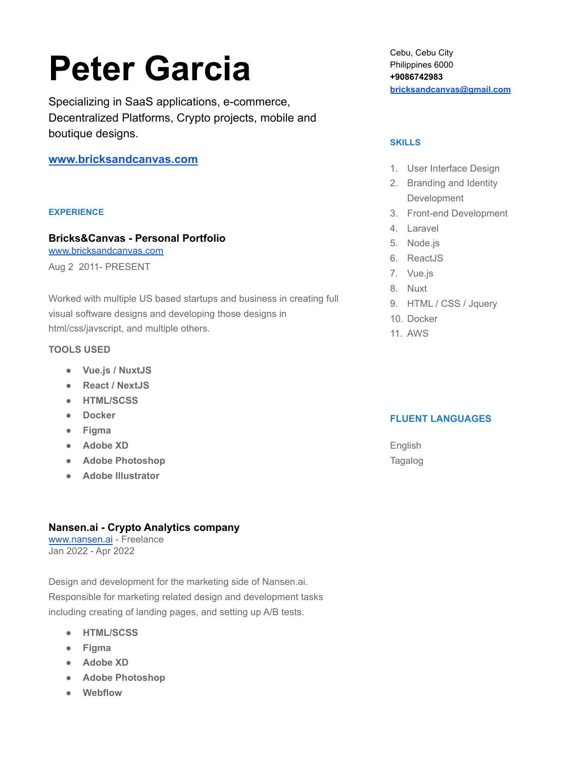# **Peter Garcia**

Specializing in SaaS applications, e-commerce, Decentralized Platforms, Crypto projects, mobile and boutique designs.

**[www.bricksandcanvas.com](http://www.bricksandcanvas.com)**

### **EXPERIENCE**

# **Bricks&Canvas - Personal Portfolio**

[www.bricksandcanvas.com](http://www.bricksandcanvas.com) Aug 2 2011- PRESENT

Worked with multiple US based startups and business in creating full visual software designs and developing those designs in html/css/javscript, and multiple others.

### **TOOLS USED**

- **● Vue.js / NuxtJS**
- **● React / NextJS**
- **● HTML/SCSS**
- **● Docker**
- **● Figma**
- **● Adobe XD**
- **● Adobe Photoshop**
- **● Adobe Illustrator**

### **Nansen.ai - Crypto Analytics company**

[www.nansen.ai](http://www.nansen.ai) - Freelance Jan 2022 - Apr 2022

Design and development for the marketing side of Nansen.ai. Responsible for marketing related design and development tasks including creating of landing pages, and setting up A/B tests.

- **● HTML/SCSS**
- **● Figma**
- **● Adobe XD**
- **● Adobe Photoshop**
- **● Webflow**

Cebu, Cebu City Philippines 6000 **+9086742983 [bricksandcanvas@gmail.com](mailto:bricksandcanvas@gmail.com)**

### **SKILLS**

- 1. User Interface Design
- 2. Branding and Identity Development
- 3. Front-end Development
- 4. Laravel
- 5. Node.js
- 6. ReactJS
- 7. Vue.js
- 8. Nuxt
- 9. HTML / CSS / Jquery
- 10. Docker
- 11. AWS

### **FLUENT LANGUAGES**

English Tagalog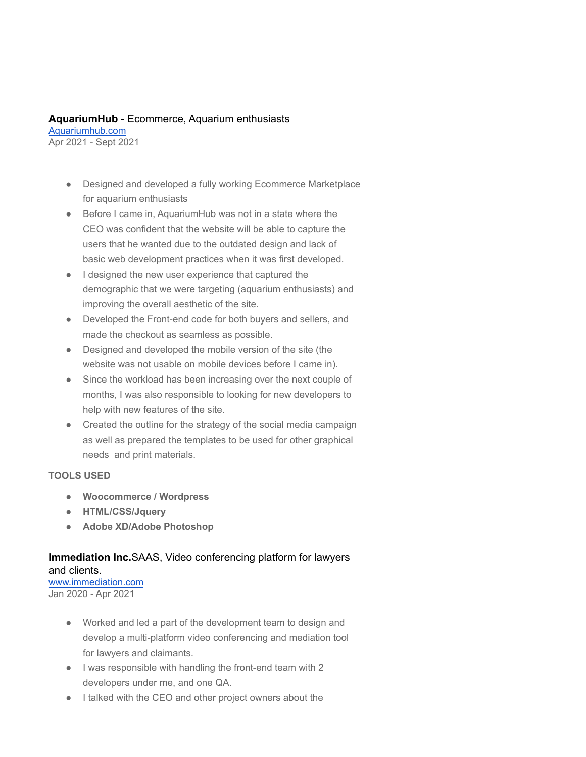### **AquariumHub** - Ecommerce, Aquarium enthusiasts

[Aquariumhub.com](http://aquariumhub.com) Apr 2021 - Sept 2021

- Designed and developed a fully working Ecommerce Marketplace for aquarium enthusiasts
- Before I came in, AquariumHub was not in a state where the CEO was confident that the website will be able to capture the users that he wanted due to the outdated design and lack of basic web development practices when it was first developed.
- I designed the new user experience that captured the demographic that we were targeting (aquarium enthusiasts) and improving the overall aesthetic of the site.
- Developed the Front-end code for both buyers and sellers, and made the checkout as seamless as possible.
- Designed and developed the mobile version of the site (the website was not usable on mobile devices before I came in).
- Since the workload has been increasing over the next couple of months, I was also responsible to looking for new developers to help with new features of the site.
- Created the outline for the strategy of the social media campaign as well as prepared the templates to be used for other graphical needs and print materials.

### **TOOLS USED**

- **● Woocommerce / Wordpress**
- **● HTML/CSS/Jquery**
- **● Adobe XD/Adobe Photoshop**

# **Immediation Inc.**SAAS, Video conferencing platform for lawyers and clients.

[www.immediation.com](http://www.immediation.com) Jan 2020 - Apr 2021

- Worked and led a part of the development team to design and develop a multi-platform video conferencing and mediation tool for lawyers and claimants.
- I was responsible with handling the front-end team with 2 developers under me, and one QA.
- I talked with the CEO and other project owners about the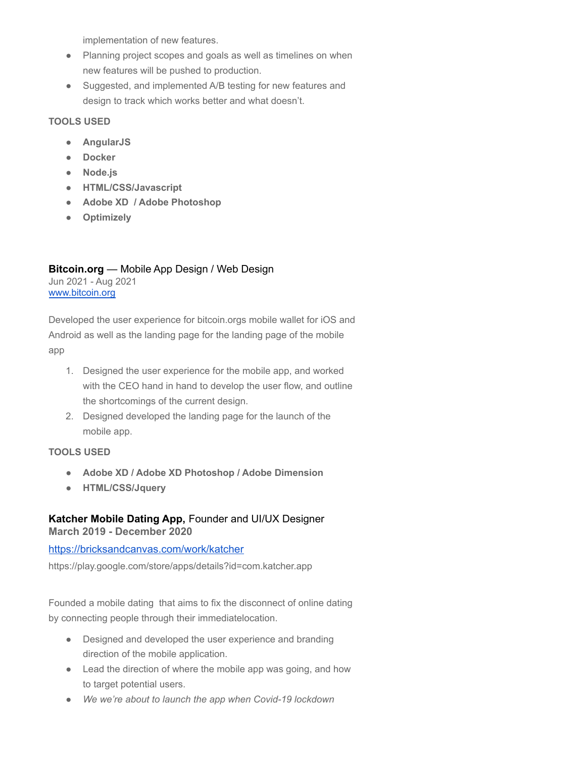implementation of new features.

- Planning project scopes and goals as well as timelines on when new features will be pushed to production.
- Suggested, and implemented A/B testing for new features and design to track which works better and what doesn't.

### **TOOLS USED**

- **● AngularJS**
- **● Docker**
- **● Node.js**
- **● HTML/CSS/Javascript**
- **● Adobe XD / Adobe Photoshop**
- **● Optimizely**

### **Bitcoin.org** — Mobile App Design / Web Design Jun 2021 - Aug 2021 [www.bitcoin.org](http://www.bitcoin.org)

Developed the user experience for bitcoin.orgs mobile wallet for iOS and Android as well as the landing page for the landing page of the mobile app

- 1. Designed the user experience for the mobile app, and worked with the CEO hand in hand to develop the user flow, and outline the shortcomings of the current design.
- 2. Designed developed the landing page for the launch of the mobile app.

# **TOOLS USED**

- **● Adobe XD / Adobe XD Photoshop / Adobe Dimension**
- **● HTML/CSS/Jquery**

# **Katcher Mobile Dating App,** Founder and UI/UX Designer

**March 2019 - December 2020**

### <https://bricksandcanvas.com/work/katcher>

https://play.google.com/store/apps/details?id=com.katcher.app

Founded a mobile dating that aims to fix the disconnect of online dating by connecting people through their immediatelocation.

- Designed and developed the user experience and branding direction of the mobile application.
- Lead the direction of where the mobile app was going, and how to target potential users.
- *● We we're about to launch the app when Covid-19 lockdown*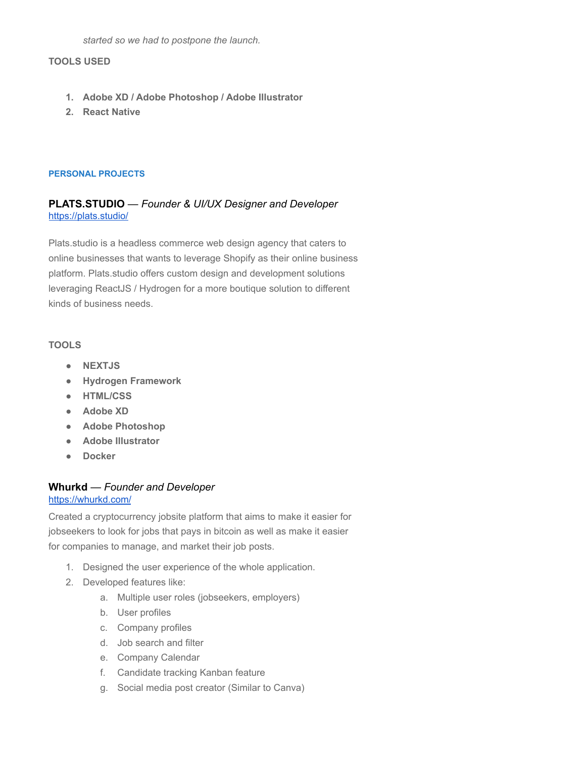*started so we had to postpone the launch.*

### **TOOLS USED**

- **1. Adobe XD / Adobe Photoshop / Adobe Illustrator**
- **2. React Native**

### **PERSONAL PROJECTS**

### **PLATS.STUDIO** — *Founder & UI/UX Designer and Developer* <https://plats.studio/>

Plats.studio is a headless commerce web design agency that caters to online businesses that wants to leverage Shopify as their online business platform. Plats.studio offers custom design and development solutions leveraging ReactJS / Hydrogen for a more boutique solution to different kinds of business needs.

### **TOOLS**

- **● NEXTJS**
- **● Hydrogen Framework**
- **● HTML/CSS**
- **● Adobe XD**
- **● Adobe Photoshop**
- **● Adobe Illustrator**
- **● Docker**

### **Whurkd** — *Founder and Developer*

### <https://whurkd.com/>

Created a cryptocurrency jobsite platform that aims to make it easier for jobseekers to look for jobs that pays in bitcoin as well as make it easier for companies to manage, and market their job posts.

- 1. Designed the user experience of the whole application.
- 2. Developed features like:
	- a. Multiple user roles (jobseekers, employers)
	- b. User profiles
	- c. Company profiles
	- d. Job search and filter
	- e. Company Calendar
	- f. Candidate tracking Kanban feature
	- g. Social media post creator (Similar to Canva)